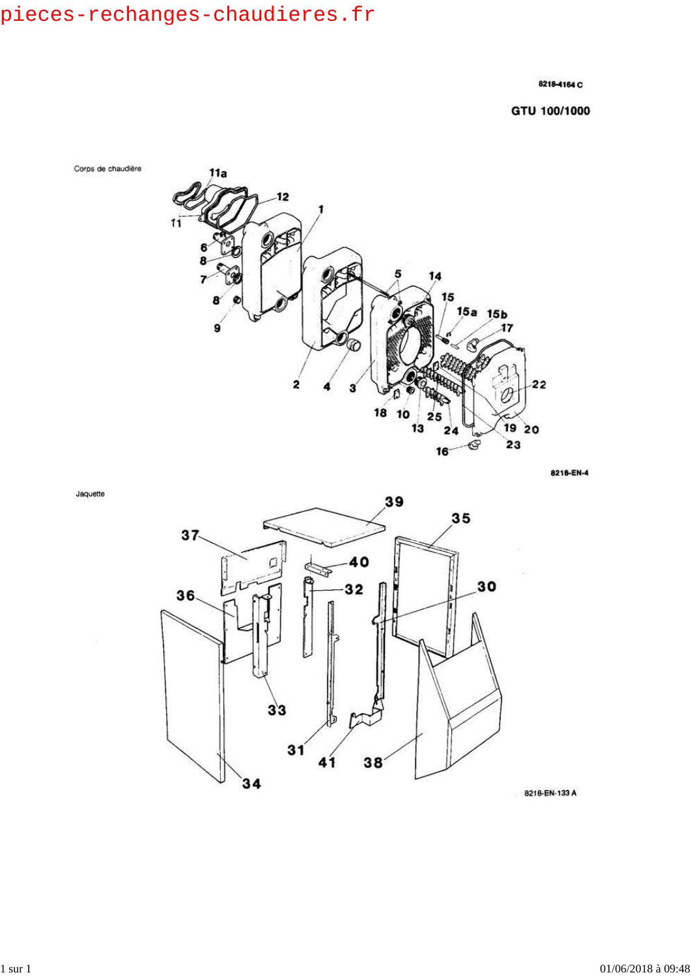### 8218-4164 C

GTU 100/1000



8218-EN-4



8218-EN-133 A

Jaquette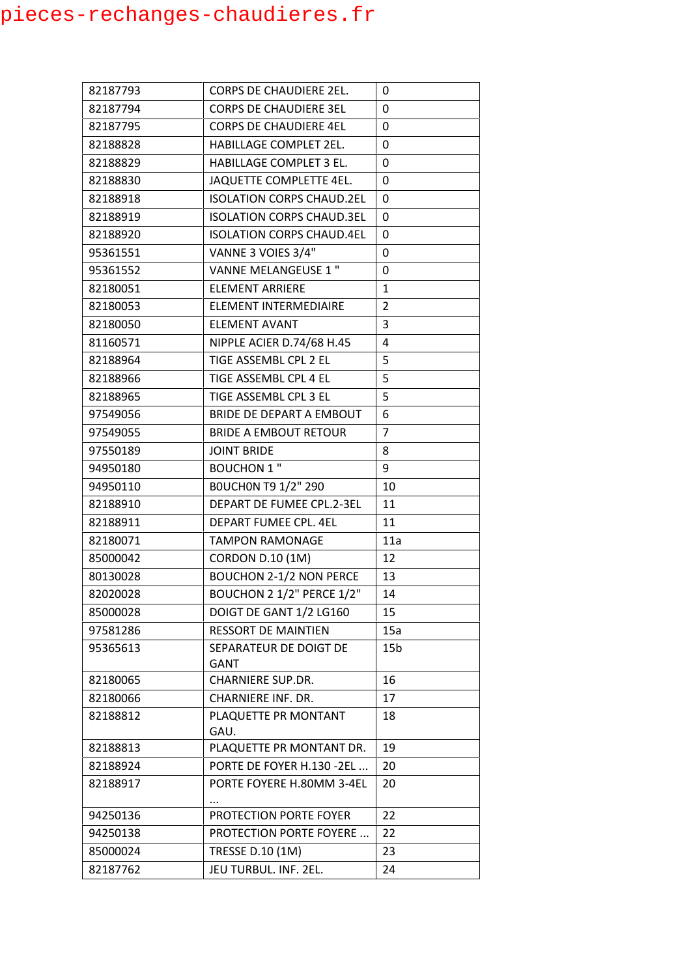| 82187793 | <b>CORPS DE CHAUDIERE 2EL.</b>   | 0               |
|----------|----------------------------------|-----------------|
| 82187794 | <b>CORPS DE CHAUDIERE 3EL</b>    | 0               |
| 82187795 | <b>CORPS DE CHAUDIERE 4EL</b>    | 0               |
| 82188828 | HABILLAGE COMPLET 2EL.           | 0               |
| 82188829 | HABILLAGE COMPLET 3 EL.          | 0               |
| 82188830 | JAQUETTE COMPLETTE 4EL.          | 0               |
| 82188918 | <b>ISOLATION CORPS CHAUD.2EL</b> | 0               |
| 82188919 | <b>ISOLATION CORPS CHAUD.3EL</b> | 0               |
| 82188920 | <b>ISOLATION CORPS CHAUD.4EL</b> | 0               |
| 95361551 | VANNE 3 VOIES 3/4"               | 0               |
| 95361552 | VANNE MELANGEUSE 1 "             | 0               |
| 82180051 | ELEMENT ARRIERE                  | 1               |
| 82180053 | ELEMENT INTERMEDIAIRE            | $\overline{2}$  |
| 82180050 | <b>ELEMENT AVANT</b>             | 3               |
| 81160571 | NIPPLE ACIER D.74/68 H.45        | 4               |
| 82188964 | TIGE ASSEMBL CPL 2 EL            | 5               |
| 82188966 | TIGE ASSEMBL CPL 4 EL            | 5               |
| 82188965 | TIGE ASSEMBL CPL 3 EL            | 5               |
| 97549056 | BRIDE DE DEPART A EMBOUT         | 6               |
| 97549055 | <b>BRIDE A EMBOUT RETOUR</b>     | $\overline{7}$  |
| 97550189 | <b>JOINT BRIDE</b>               | 8               |
| 94950180 | <b>BOUCHON 1 "</b>               | 9               |
| 94950110 | BOUCHON T9 1/2" 290              | 10              |
| 82188910 | DEPART DE FUMEE CPL.2-3EL        | 11              |
| 82188911 | DEPART FUMEE CPL. 4EL            | 11              |
| 82180071 | <b>TAMPON RAMONAGE</b>           | 11a             |
| 85000042 | <b>CORDON D.10 (1M)</b>          | 12              |
| 80130028 | <b>BOUCHON 2-1/2 NON PERCE</b>   | 13              |
| 82020028 | BOUCHON 2 1/2" PERCE 1/2"        | 14              |
| 85000028 | DOIGT DE GANT 1/2 LG160          | 15              |
| 97581286 | <b>RESSORT DE MAINTIEN</b>       | 15a             |
| 95365613 | SEPARATEUR DE DOIGT DE           | 15 <sub>b</sub> |
|          | <b>GANT</b>                      |                 |
| 82180065 | <b>CHARNIERE SUP.DR.</b>         | 16              |
| 82180066 | CHARNIERE INF. DR.               | 17              |
| 82188812 | PLAQUETTE PR MONTANT             | 18              |
|          | GAU.                             |                 |
| 82188813 | PLAQUETTE PR MONTANT DR.         | 19              |
| 82188924 | PORTE DE FOYER H.130 -2EL        | 20              |
| 82188917 | PORTE FOYERE H.80MM 3-4EL        | 20              |
| 94250136 | PROTECTION PORTE FOYER           | 22              |
| 94250138 | <b>PROTECTION PORTE FOYERE </b>  | 22              |
| 85000024 | TRESSE D.10 (1M)                 | 23              |
| 82187762 | JEU TURBUL. INF. 2EL.            | 24              |
|          |                                  |                 |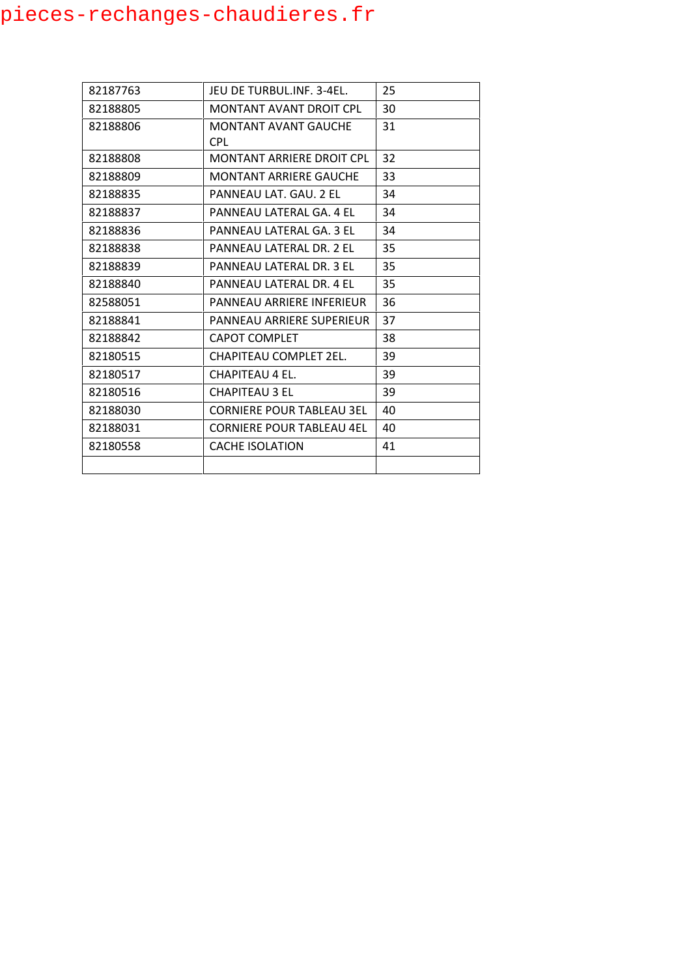| 82187763 | JEU DE TURBUL.INF. 3-4EL.        | 25 |
|----------|----------------------------------|----|
| 82188805 | <b>MONTANT AVANT DROIT CPL</b>   | 30 |
| 82188806 | MONTANT AVANT GAUCHE             | 31 |
|          | <b>CPL</b>                       |    |
| 82188808 | MONTANT ARRIERE DROIT CPL        | 32 |
| 82188809 | <b>MONTANT ARRIERE GAUCHE</b>    | 33 |
| 82188835 | PANNEAU LAT. GAU. 2 EL           | 34 |
| 82188837 | PANNEAU LATERAL GA. 4 EL         | 34 |
| 82188836 | PANNEAU LATERAL GA. 3 FL         | 34 |
| 82188838 | PANNEAU LATERAL DR. 2 FL         | 35 |
| 82188839 | PANNEAU LATERAL DR. 3 EL         | 35 |
| 82188840 | PANNEAU LATERAL DR. 4 EL         | 35 |
| 82588051 | PANNEAU ARRIERE INFERIEUR        | 36 |
| 82188841 | PANNEAU ARRIERE SUPERIEUR        | 37 |
| 82188842 | <b>CAPOT COMPLET</b>             | 38 |
| 82180515 | <b>CHAPITEAU COMPLET 2EL.</b>    | 39 |
| 82180517 | CHAPITEAU 4 EL.                  | 39 |
| 82180516 | <b>CHAPITEAU 3 EL</b>            | 39 |
| 82188030 | <b>CORNIERE POUR TABLEAU 3EL</b> | 40 |
| 82188031 | <b>CORNIERE POUR TABLEAU 4EL</b> | 40 |
| 82180558 | <b>CACHE ISOLATION</b>           | 41 |
|          |                                  |    |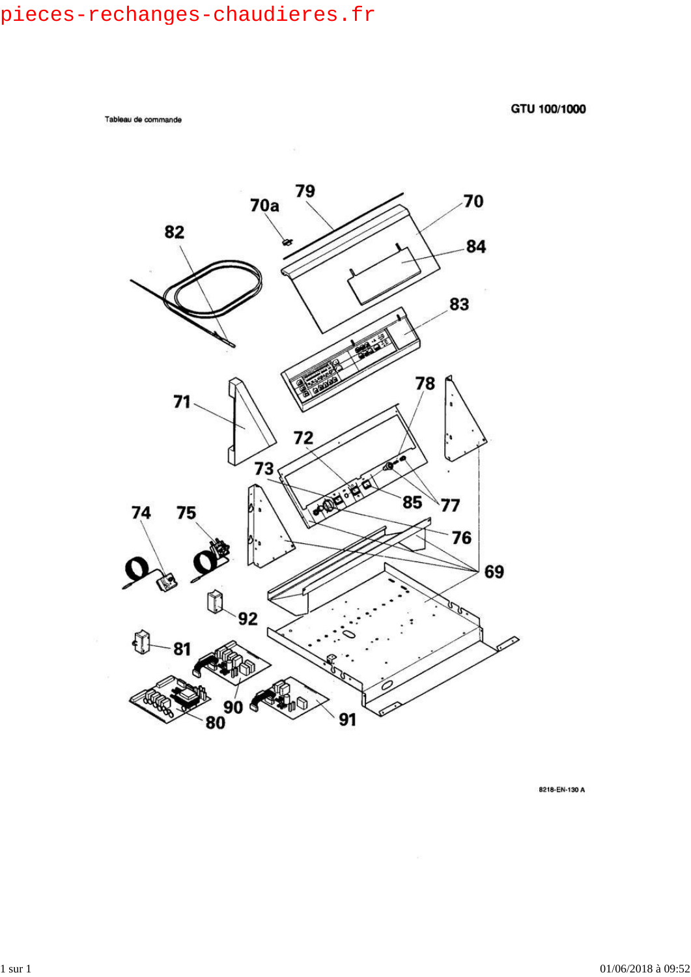Tableau de commande

GTU 100/1000



8218-EN-130 A